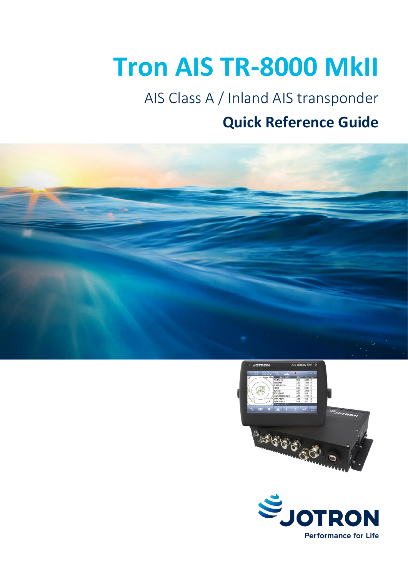# **Tron AIS TR-8000 MkII**

## AIS Class A / Inland AIS transponder **Quick Reference Guide**





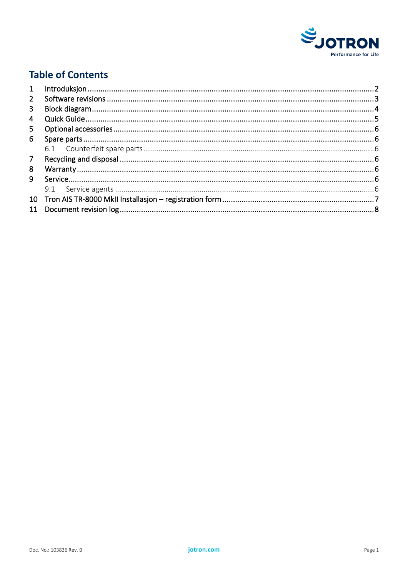

### **Table of Contents**

| $2^{\circ}$    |  |
|----------------|--|
| $\overline{3}$ |  |
| $\overline{4}$ |  |
| 5              |  |
| 6              |  |
|                |  |
| 7 <sup>7</sup> |  |
| 8              |  |
| $\overline{9}$ |  |
|                |  |
|                |  |
|                |  |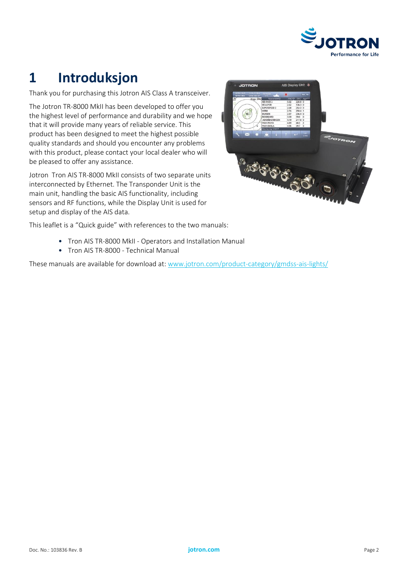

## <span id="page-3-0"></span>**1 Introduksjon**

Thank you for purchasing this Jotron AIS Class A transceiver.

The Jotron TR-8000 MkII has been developed to offer you the highest level of performance and durability and we hope that it will provide many years of reliable service. This product has been designed to meet the highest possible quality standards and should you encounter any problems with this product, please contact your local dealer who will be pleased to offer any assistance.

Jotron Tron AIS TR-8000 MkII consists of two separate units interconnected by Ethernet. The Transponder Unit is the main unit, handling the basic AIS functionality, including sensors and RF functions, while the Display Unit is used for setup and display of the AIS data.



This leaflet is a "Quick guide" with references to the two manuals:

- Tron AIS TR-8000 MkII Operators and Installation Manual
- Tron AIS TR-8000 Technical Manual

These manuals are available for download at: www.jotron.com/product-category/gmdss-ais-lights/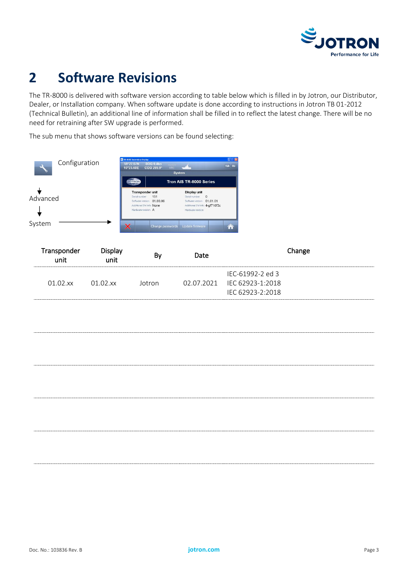

## <span id="page-4-0"></span>**2 Software Revisions**

The TR-8000 is delivered with software version according to table below which is filled in by Jotron, our Distributor, Dealer, or Installation company. When software update is done according to instructions in Jotron TB 01-2012 (Technical Bulletin), an additional line of information shall be filled in to reflect the latest change. There will be no need for retraining after SW upgrade is performed.

The sub menu that shows software versions can be found selecting:

|          | Configuration | TR 8000 Secondary Display<br>59°22.67N<br>10°23.60E | SOG <sub>0.4kn</sub><br>COG 299.9°                                                                       | $\frac{1}{2} \left( \frac{1}{2} \right) \left( \frac{1}{2} \right) \left( \frac{1}{2} \right) \left( \frac{1}{2} \right) \left( \frac{1}{2} \right) \left( \frac{1}{2} \right) \left( \frac{1}{2} \right) \left( \frac{1}{2} \right) \left( \frac{1}{2} \right) \left( \frac{1}{2} \right) \left( \frac{1}{2} \right) \left( \frac{1}{2} \right) \left( \frac{1}{2} \right) \left( \frac{1}{2} \right) \left( \frac{1}{2} \right) \left( \frac{1}{2} \right) \left( \frac$<br>UTC: |                                                                                                                                  | TxA Rx |
|----------|---------------|-----------------------------------------------------|----------------------------------------------------------------------------------------------------------|------------------------------------------------------------------------------------------------------------------------------------------------------------------------------------------------------------------------------------------------------------------------------------------------------------------------------------------------------------------------------------------------------------------------------------------------------------------------------------|----------------------------------------------------------------------------------------------------------------------------------|--------|
|          |               | <b>JOTRON</b>                                       |                                                                                                          | <b>System</b>                                                                                                                                                                                                                                                                                                                                                                                                                                                                      | Tron AIS TR-8000 Series                                                                                                          |        |
| Advanced |               | Serial number:                                      | Transponder unit<br>151<br>Software version 01.00.06<br>Additional SW info: None<br>Hardware revision: A |                                                                                                                                                                                                                                                                                                                                                                                                                                                                                    | Display unit<br>Serial number.<br>$\Omega$<br>Software version: 01.01.01<br>Additional SW info: 4-gf716f3c<br>Hardware revision: |        |
| System   |               |                                                     |                                                                                                          | Change passwords                                                                                                                                                                                                                                                                                                                                                                                                                                                                   | Update firmware                                                                                                                  |        |

| Transponder<br>unit | <b>Display</b><br>unit | Bv      | Date | Change                                                              |
|---------------------|------------------------|---------|------|---------------------------------------------------------------------|
| 01.02.xx            | $01.02$ .xx            | Jotron. |      | IFC-61992-2 ed 3<br>02.07.2021 IFC 62923-1:2018<br>IFC 62923-2:2018 |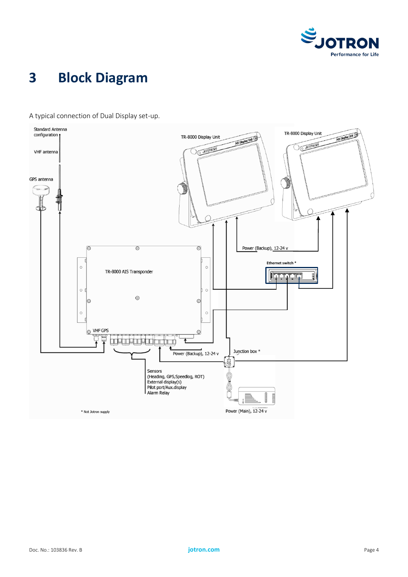

## <span id="page-5-0"></span>**3 Block Diagram**



A typical connection of Dual Display set-up.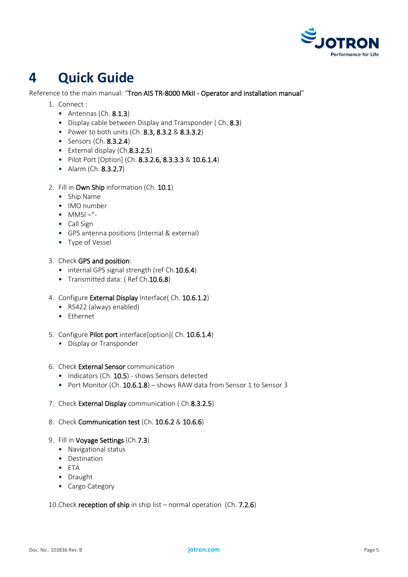

## <span id="page-6-0"></span>**4 Quick Guide**

Reference to the main manual: "Tron AIS TR-8000 MkII - Operator and installation manual"

- 1. Connect :
	- Antennas (Ch. 8.1.3)
	- Display cable between Display and Transponder ( Ch. 8.3)
	- Power to both units (Ch. 8.3, 8.3.2 & 8.3.3.2)
	- Sensors (Ch. 8.3.2.4)
	- External display (Ch.8.3.2.5)
	- Pilot Port [Option] (Ch. 8.3.2.6, 8.3.3.3 & 10.6.1.4)
	- Alarm (Ch. 8.3.2.7)
- 2. Fill in Own Ship information (Ch. 10.1)
	- Ship Name
	- IMO number
	- $\bullet$  MMSI $-$ "-
	- Call Sign
	- GPS antenna positions (Internal & external)
	- Type of Vessel

### 3. Check GPS and position:

- internal GPS signal strength (ref Ch.10.6.4)
- Transmitted data: ( Ref Ch.10.6.8)
- 4. Configure External Display Interface( Ch. 10.6.1.2)
	- RS422 (always enabled)
	- Ethernet
- 5. Configure Pilot port interface[option]( Ch. 10.6.1.4)
	- Display or Transponder

### 6. Check External Sensor communication

- Indicators (Ch. 10.5) shows Sensors detected
- Port Monitor (Ch. 10.6.1.8) shows RAW data from Sensor 1 to Sensor 3
- 7. Check External Display communication ( Ch.8.3.2.5)
- 8. Check Communication test (Ch. 10.6.2 & 10.6.6)
- 9. Fill in Voyage Settings (Ch.7.3)
	- Navigational status
	- Destination
	- ETA
	- Draught
	- Cargo Category

10.Check reception of ship in ship list – normal operation (Ch. 7.2.6)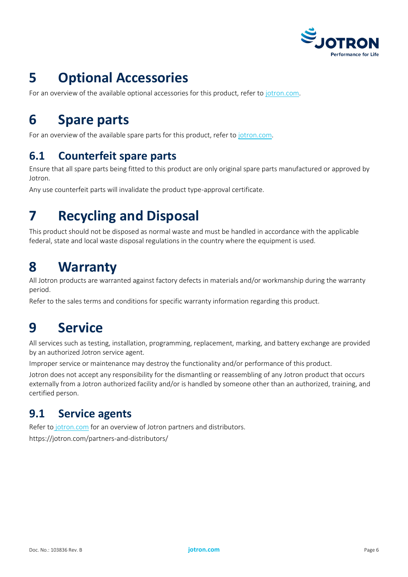

## <span id="page-7-0"></span>**5 Optional Accessories**

<span id="page-7-1"></span>For an overview of the available optional accessories for this product, refer to [jotron.com.](https://jotron.com/partners-and-distributors/)

## **6 Spare parts**

For an overview of the available spare parts for this product, refer t[o jotron.com.](https://jotron.com/partners-and-distributors/)

### <span id="page-7-2"></span>**6.1 Counterfeit spare parts**

Ensure that all spare parts being fitted to this product are only original spare parts manufactured or approved by Jotron.

<span id="page-7-3"></span>Any use counterfeit parts will invalidate the product type-approval certificate.

## **7 Recycling and Disposal**

This product should not be disposed as normal waste and must be handled in accordance with the applicable federal, state and local waste disposal regulations in the country where the equipment is used.

### <span id="page-7-4"></span>**8 Warranty**

All Jotron products are warranted against factory defects in materials and/or workmanship during the warranty period.

<span id="page-7-5"></span>Refer to the sales terms and conditions for specific warranty information regarding this product.

## **9 Service**

All services such as testing, installation, programming, replacement, marking, and battery exchange are provided by an authorized Jotron service agent.

Improper service or maintenance may destroy the functionality and/or performance of this product.

Jotron does not accept any responsibility for the dismantling or reassembling of any Jotron product that occurs externally from a Jotron authorized facility and/or is handled by someone other than an authorized, training, and certified person.

### <span id="page-7-6"></span>**9.1 Service agents**

Refer to [jotron.com](https://jotron.com/partners-and-distributors/) for an overview of Jotron partners and distributors.

https://jotron.com/partners-and-distributors/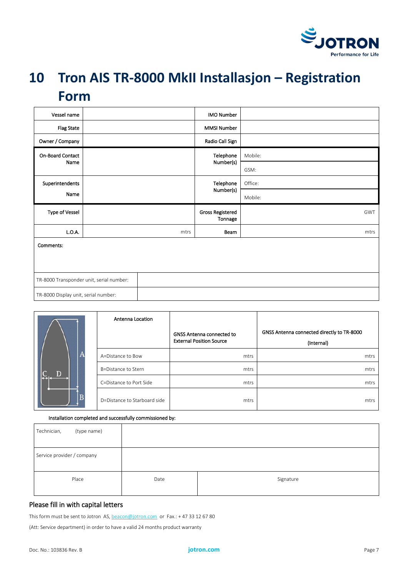

## <span id="page-8-0"></span>**10 Tron AIS TR-8000 MkII Installasjon – Registration Form**

| Vessel name                              |      | <b>IMO Number</b>                  |            |
|------------------------------------------|------|------------------------------------|------------|
| <b>Flag State</b>                        |      | <b>MMSI Number</b>                 |            |
| Owner / Company                          |      | Radio Call Sign                    |            |
| <b>On-Board Contact</b>                  |      | Telephone                          | Mobile:    |
| Name                                     |      | Number(s)                          | GSM:       |
| Superintendents                          |      | Telephone                          | Office:    |
| Name                                     |      | Number(s)                          | Mobile:    |
|                                          |      |                                    |            |
| Type of Vessel                           |      | <b>Gross Registered</b><br>Tonnage | <b>GWT</b> |
| L.O.A.                                   | mtrs | Beam                               | mtrs       |
| Comments:                                |      |                                    |            |
|                                          |      |                                    |            |
| TR-8000 Transponder unit, serial number: |      |                                    |            |

|   | Antenna Location             | <b>GNSS Antenna connected to</b><br><b>External Position Source</b> | GNSS Antenna connected directly to TR-8000<br>(Internal) |
|---|------------------------------|---------------------------------------------------------------------|----------------------------------------------------------|
| A | A=Distance to Bow            | mtrs                                                                | mtrs                                                     |
| D | B=Distance to Stern          | mtrs                                                                | mtrs                                                     |
|   | C=Distance to Port Side      | mtrs                                                                | mtrs                                                     |
| B | D=Distance to Starboard side | mtrs                                                                | mtrs                                                     |

### Installation completed and successfully commissioned by:

| Technician,<br>(type name) |      |           |
|----------------------------|------|-----------|
| Service provider / company |      |           |
| Place                      | Date | Signature |

### Please fill in with capital letters

This form must be sent to Jotron AS, **beacon@jotron.com** or Fax.: +47 33 12 67 80

(Att: Service department) in order to have a valid 24 months product warranty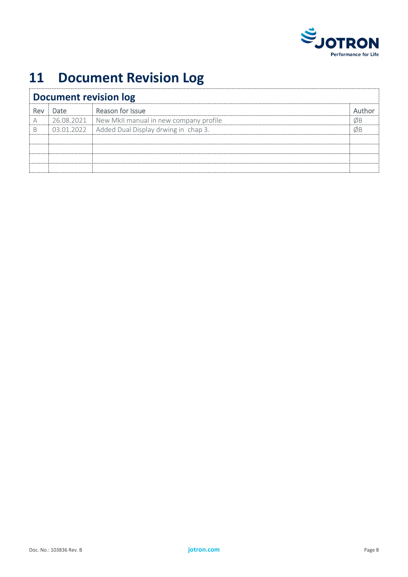

## <span id="page-9-0"></span>**11 Document Revision Log**

### **Document revision log**

|              | <b>POCALITERIT LEVISION 105</b> |                                                   |        |  |  |  |
|--------------|---------------------------------|---------------------------------------------------|--------|--|--|--|
| Rev          | Date                            | Reason for Issue                                  | Author |  |  |  |
| A            | 26.08.2021                      | New MkII manual in new company profile            | ØB     |  |  |  |
| <sub>B</sub> |                                 | 03.01.2022   Added Dual Display drwing in chap 3. | ØB     |  |  |  |
|              |                                 |                                                   |        |  |  |  |
|              |                                 |                                                   |        |  |  |  |
|              |                                 |                                                   |        |  |  |  |
|              |                                 |                                                   |        |  |  |  |
|              |                                 |                                                   |        |  |  |  |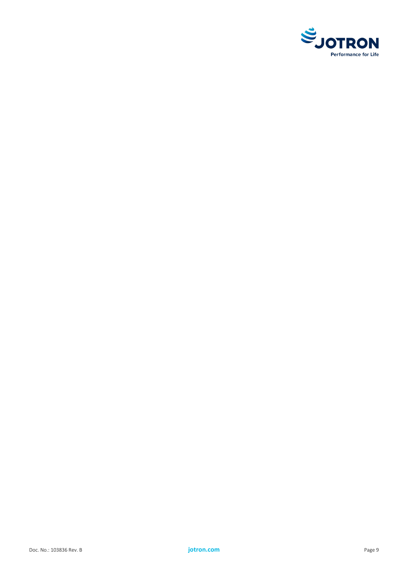